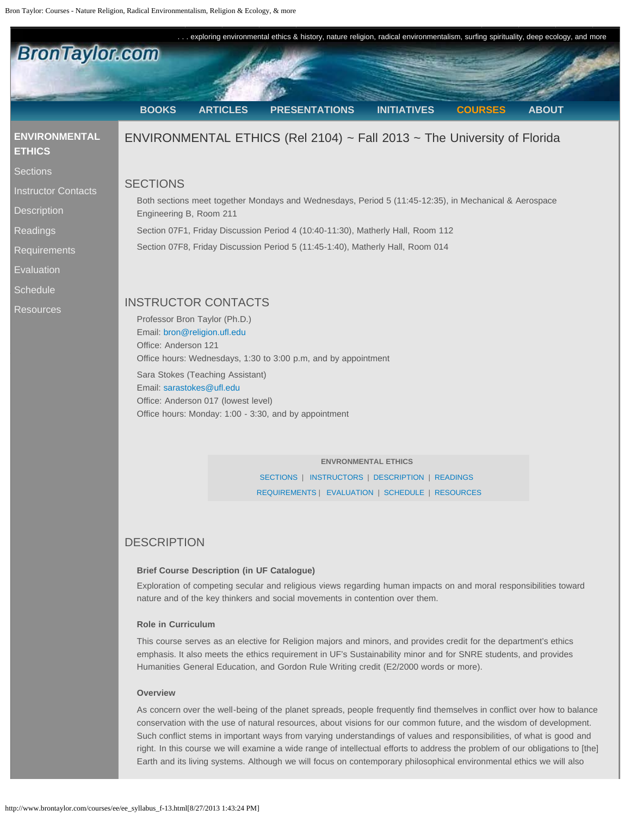<span id="page-0-1"></span><span id="page-0-0"></span>

**ENVRONMENTAL ETHICS**  [SECTIONS](#page-0-0) | [INSTRUCTORS](#page-0-1) | [DESCRIPTION](#page-0-2) | [READINGS](#page-1-0) [REQUIREMENTS](#page-1-1) | [EVALUATION](#page-2-0) | [SCHEDULE](#page-4-0) | [RESOURCES](#page-10-0)

### <span id="page-0-2"></span>**DESCRIPTION**

### **Brief Course Description (in UF Catalogue)**

Exploration of competing secular and religious views regarding human impacts on and moral responsibilities toward nature and of the key thinkers and social movements in contention over them.

### **Role in Curriculum**

This course serves as an elective for Religion majors and minors, and provides credit for the department's ethics emphasis. It also meets the ethics requirement in UF's Sustainability minor and for SNRE students, and provides Humanities General Education, and Gordon Rule Writing credit (E2/2000 words or more).

### **Overview**

As concern over the well-being of the planet spreads, people frequently find themselves in conflict over how to balance conservation with the use of natural resources, about visions for our common future, and the wisdom of development. Such conflict stems in important ways from varying understandings of values and responsibilities, of what is good and right. In this course we will examine a wide range of intellectual efforts to address the problem of our obligations to [the] Earth and its living systems. Although we will focus on contemporary philosophical environmental ethics we will also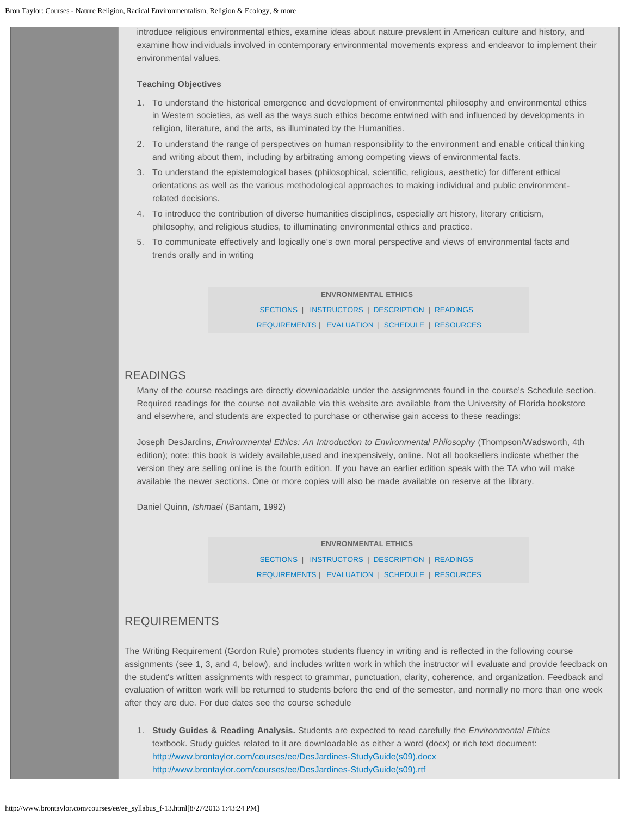introduce religious environmental ethics, examine ideas about nature prevalent in American culture and history, and examine how individuals involved in contemporary environmental movements express and endeavor to implement their environmental values.

### **Teaching Objectives**

- 1. To understand the historical emergence and development of environmental philosophy and environmental ethics in Western societies, as well as the ways such ethics become entwined with and influenced by developments in religion, literature, and the arts, as illuminated by the Humanities.
- 2. To understand the range of perspectives on human responsibility to the environment and enable critical thinking and writing about them, including by arbitrating among competing views of environmental facts.
- 3. To understand the epistemological bases (philosophical, scientific, religious, aesthetic) for different ethical orientations as well as the various methodological approaches to making individual and public environmentrelated decisions.
- 4. To introduce the contribution of diverse humanities disciplines, especially art history, literary criticism, philosophy, and religious studies, to illuminating environmental ethics and practice.
- 5. To communicate effectively and logically one's own moral perspective and views of environmental facts and trends orally and in writing

# **ENVRONMENTAL ETHICS**

[SECTIONS](#page-0-0) | [INSTRUCTORS](#page-0-1) | [DESCRIPTION](#page-0-2) | [READINGS](#page-1-0) [REQUIREMENTS](#page-1-1) | [EVALUATION](#page-2-0) | [SCHEDULE](#page-4-0) | [RESOURCES](#page-10-0)

### <span id="page-1-0"></span>READINGS

Many of the course readings are directly downloadable under the assignments found in the course's Schedule section. Required readings for the course not available via this website are available from the University of Florida bookstore and elsewhere, and students are expected to purchase or otherwise gain access to these readings:

Joseph DesJardins, *Environmental Ethics: An Introduction to Environmental Philosophy* (Thompson/Wadsworth, 4th edition); note: this book is widely available,used and inexpensively, online. Not all booksellers indicate whether the version they are selling online is the fourth edition. If you have an earlier edition speak with the TA who will make available the newer sections. One or more copies will also be made available on reserve at the library.

Daniel Quinn, *Ishmael* (Bantam, 1992)

**ENVRONMENTAL ETHICS**  [SECTIONS](#page-0-0) | [INSTRUCTORS](#page-0-1) | [DESCRIPTION](#page-0-2) | [READINGS](#page-1-0) [REQUIREMENTS](#page-1-1) | [EVALUATION](#page-2-0) | [SCHEDULE](#page-4-0) | [RESOURCES](#page-10-0)

### <span id="page-1-1"></span>REQUIREMENTS

The Writing Requirement (Gordon Rule) promotes students fluency in writing and is reflected in the following course assignments (see 1, 3, and 4, below), and includes written work in which the instructor will evaluate and provide feedback on the student's written assignments with respect to grammar, punctuation, clarity, coherence, and organization. Feedback and evaluation of written work will be returned to students before the end of the semester, and normally no more than one week after they are due. For due dates see the course schedule

1. **Study Guides & Reading Analysis.** Students are expected to read carefully the *Environmental Ethics* textbook. Study guides related to it are downloadable as either a word (docx) or rich text document: [http://www.brontaylor.com/courses/ee/DesJardines-StudyGuide\(s09\).docx](http://www.brontaylor.com/courses/ee/DesJardines-StudyGuide(s09).docx) [http://www.brontaylor.com/courses/ee/DesJardines-StudyGuide\(s09\).rtf](http://www.brontaylor.com/courses/ee/DesJardines-StudyGuide(s09).rtf)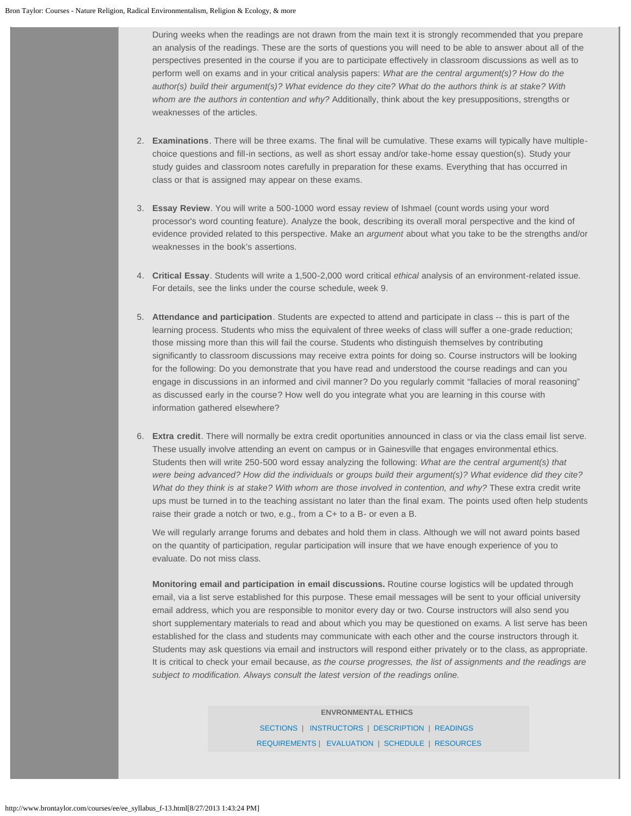During weeks when the readings are not drawn from the main text it is strongly recommended that you prepare an analysis of the readings. These are the sorts of questions you will need to be able to answer about all of the perspectives presented in the course if you are to participate effectively in classroom discussions as well as to perform well on exams and in your critical analysis papers: *What are the central argument(s)? How do the author(s) build their argument(s)? What evidence do they cite? What do the authors think is at stake? With whom are the authors in contention and why?* Additionally, think about the key presuppositions, strengths or weaknesses of the articles.

- 2. **Examinations**. There will be three exams. The final will be cumulative. These exams will typically have multiplechoice questions and fill-in sections, as well as short essay and/or take-home essay question(s). Study your study guides and classroom notes carefully in preparation for these exams. Everything that has occurred in class or that is assigned may appear on these exams.
- 3. **Essay Review**. You will write a 500-1000 word essay review of Ishmael (count words using your word processor's word counting feature). Analyze the book, describing its overall moral perspective and the kind of evidence provided related to this perspective. Make an *argument* about what you take to be the strengths and/or weaknesses in the book's assertions.
- 4. **Critical Essay**. Students will write a 1,500-2,000 word critical *ethical* analysis of an environment-related issue. For details, see the links under the course schedule, week 9.
- 5. **Attendance and participation**. Students are expected to attend and participate in class -- this is part of the learning process. Students who miss the equivalent of three weeks of class will suffer a one-grade reduction; those missing more than this will fail the course. Students who distinguish themselves by contributing significantly to classroom discussions may receive extra points for doing so. Course instructors will be looking for the following: Do you demonstrate that you have read and understood the course readings and can you engage in discussions in an informed and civil manner? Do you regularly commit "fallacies of moral reasoning" as discussed early in the course? How well do you integrate what you are learning in this course with information gathered elsewhere?
- 6. **Extra credit**. There will normally be extra credit oportunities announced in class or via the class email list serve. These usually involve attending an event on campus or in Gainesville that engages environmental ethics. Students then will write 250-500 word essay analyzing the following: *What are the central argument(s) that were being advanced? How did the individuals or groups build their argument(s)? What evidence did they cite? What do they think is at stake? With whom are those involved in contention, and why?* These extra credit write ups must be turned in to the teaching assistant no later than the final exam. The points used often help students raise their grade a notch or two, e.g., from a C+ to a B- or even a B.

We will regularly arrange forums and debates and hold them in class. Although we will not award points based on the quantity of participation, regular participation will insure that we have enough experience of you to evaluate. Do not miss class.

<span id="page-2-0"></span>**Monitoring email and participation in email discussions.** Routine course logistics will be updated through email, via a list serve established for this purpose. These email messages will be sent to your official university email address, which you are responsible to monitor every day or two. Course instructors will also send you short supplementary materials to read and about which you may be questioned on exams. A list serve has been established for the class and students may communicate with each other and the course instructors through it. Students may ask questions via email and instructors will respond either privately or to the class, as appropriate. It is critical to check your email because, *as the course progresses, the list of assignments and the readings are subject to modification. Always consult the latest version of the readings online.*

> **ENVRONMENTAL ETHICS**  [SECTIONS](#page-0-0) | [INSTRUCTORS](#page-0-1) | [DESCRIPTION](#page-0-2) | [READINGS](#page-1-0) [REQUIREMENTS](#page-1-1) | [EVALUATION](#page-2-0) | [SCHEDULE](#page-4-0) | [RESOURCES](#page-10-0)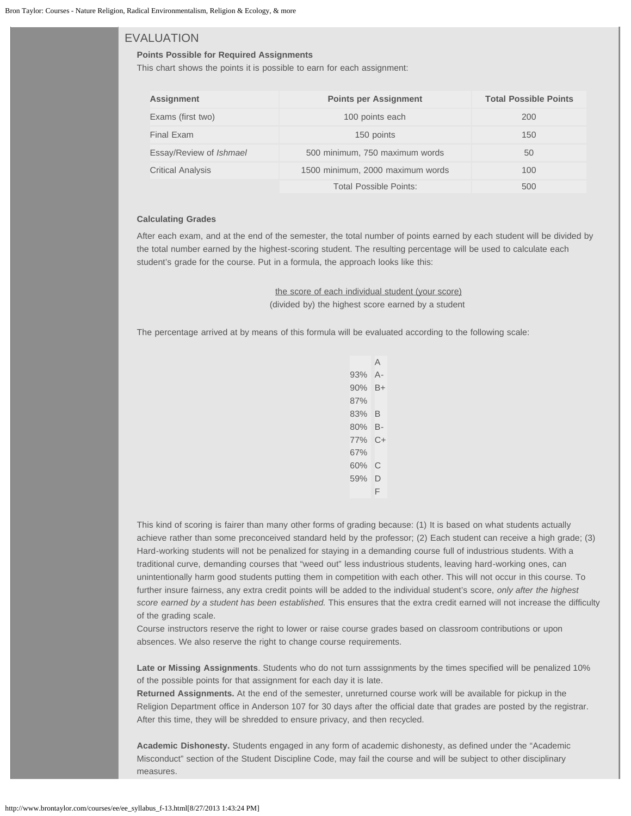### EVALUATION

### **Points Possible for Required Assignments**

This chart shows the points it is possible to earn for each assignment:

| <b>Assignment</b>              | <b>Points per Assignment</b>     | <b>Total Possible Points</b> |
|--------------------------------|----------------------------------|------------------------------|
| Exams (first two)              | 100 points each                  | 200                          |
| Final Exam                     | 150 points                       | 150                          |
| Essay/Review of <i>Ishmael</i> | 500 minimum, 750 maximum words   | 50                           |
| <b>Critical Analysis</b>       | 1500 minimum, 2000 maximum words | 100                          |
|                                | Total Possible Points:           | 500                          |

### **Calculating Grades**

After each exam, and at the end of the semester, the total number of points earned by each student will be divided by the total number earned by the highest-scoring student. The resulting percentage will be used to calculate each student's grade for the course. Put in a formula, the approach looks like this:

> the score of each individual student (your score) (divided by) the highest score earned by a student

The percentage arrived at by means of this formula will be evaluated according to the following scale:

|     | A    |
|-----|------|
| 93% | А-   |
| 90% | B+   |
| 87% |      |
| 83% | В    |
| 80% | В-   |
| 77% | $C+$ |
| 67% |      |
| 60% | С    |
| 59% | D    |
|     | F    |
|     |      |

This kind of scoring is fairer than many other forms of grading because: (1) It is based on what students actually achieve rather than some preconceived standard held by the professor; (2) Each student can receive a high grade; (3) Hard-working students will not be penalized for staying in a demanding course full of industrious students. With a traditional curve, demanding courses that "weed out" less industrious students, leaving hard-working ones, can unintentionally harm good students putting them in competition with each other. This will not occur in this course. To further insure fairness, any extra credit points will be added to the individual student's score, *only after the highest score earned by a student has been established.* This ensures that the extra credit earned will not increase the difficulty of the grading scale.

Course instructors reserve the right to lower or raise course grades based on classroom contributions or upon absences. We also reserve the right to change course requirements.

**Late or Missing Assignments**. Students who do not turn asssignments by the times specified will be penalized 10% of the possible points for that assignment for each day it is late.

**Returned Assignments.** At the end of the semester, unreturned course work will be available for pickup in the Religion Department office in Anderson 107 for 30 days after the official date that grades are posted by the registrar. After this time, they will be shredded to ensure privacy, and then recycled.

**Academic Dishonesty.** Students engaged in any form of academic dishonesty, as defined under the "Academic Misconduct" section of the Student Discipline Code, may fail the course and will be subject to other disciplinary measures.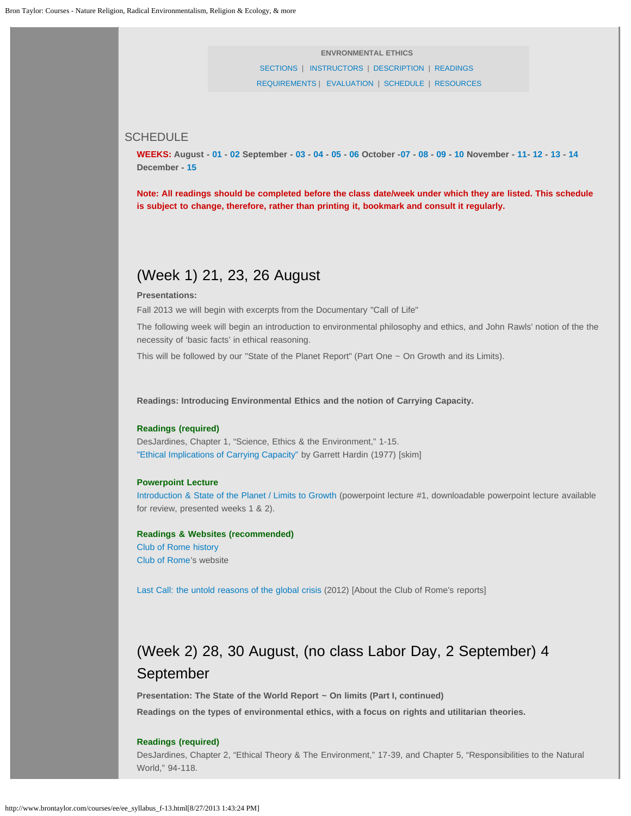**ENVRONMENTAL ETHICS**  [SECTIONS](#page-0-0) | [INSTRUCTORS](#page-0-1) | [DESCRIPTION](#page-0-2) | [READINGS](#page-1-0) [REQUIREMENTS](#page-1-1) | [EVALUATION](#page-2-0) | [SCHEDULE](#page-4-0) | [RESOURCES](#page-10-0)

### <span id="page-4-0"></span>**SCHEDULE**

WEEKS: August - [01](#page-4-1) - [02](#page-4-2) September - [03](#page-5-0) - [04](#page-5-1) - [05](#page-6-0) - [06](#page-6-1) October -[07](#page-7-0) - [08](#page-7-1) - [09](#page-7-2) - [10](#page-8-0) November - [11-](#page-8-1) [12](#page-8-2) - [13](#page-9-0) - [14](#page-9-1) **December - [15](#page-10-1)**

<span id="page-4-1"></span>**Note: All readings should be completed before the class date/week under which they are listed. This schedule is subject to change, therefore, rather than printing it, bookmark and consult it regularly.** 

### (Week 1) 21, 23, 26 August

### **Presentations:**

Fall 2013 we will begin with excerpts from the Documentary "Call of Life"

The following week will begin an introduction to environmental philosophy and ethics, and John Rawls' notion of the the necessity of 'basic facts' in ethical reasoning.

This will be followed by our "State of the Planet Report" (Part One ~ On Growth and its Limits).

**Readings: Introducing Environmental Ethics and the notion of Carrying Capacity.**

### **Readings (required)**

DesJardines, Chapter 1, "Science, Ethics & the Environment," 1-15. ["Ethical Implications of Carrying Capacity"](http://www.dieoff.org/page96.htm) by Garrett Hardin (1977) [skim]

### **Powerpoint Lecture**

[Introduction & State of the Planet / Limits to Growth](http://www.brontaylor.com/courses/pp/EE1--Intro+Limits2Growth.ppt) (powerpoint lecture #1, downloadable powerpoint lecture available for review, presented weeks 1 & 2).

**Readings & Websites (recommended)**  [Club of Rome history](http://www.clubofrome.org/eng/about/4/) [Club of Rome](http://www.clubofrome.org/?p=6316)'s website

<span id="page-4-2"></span>[Last Call: the untold reasons of the global crisis](http://www.lastcallthefilm.org/) (2012) [About the Club of Rome's reports]

# (Week 2) 28, 30 August, (no class Labor Day, 2 September) 4 September

**Presentation: The State of the World Report ~ On limits (Part I, continued) Readings on the types of environmental ethics, with a focus on rights and utilitarian theories.**

### **Readings (required)**

DesJardines, Chapter 2, "Ethical Theory & The Environment," 17-39, and Chapter 5, "Responsibilities to the Natural World," 94-118.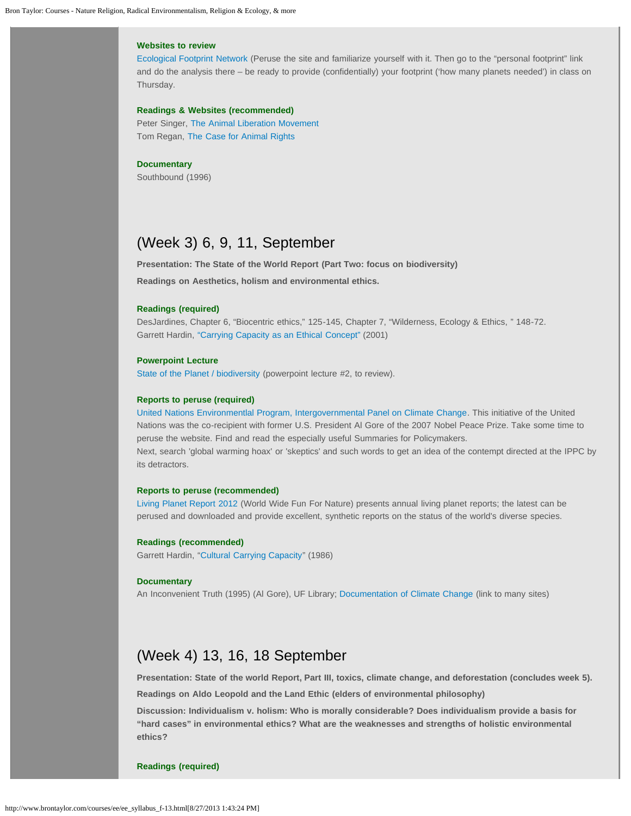### **Websites to review**

[Ecological Footprint Network](http://www.footprintnetwork.org/en/index.php/GFN/) (Peruse the site and familiarize yourself with it. Then go to the "personal footprint" link and do the analysis there – be ready to provide (confidentially) your footprint ('how many planets needed') in class on Thursday.

### **Readings & Websites (recommended)**

Peter Singer, [The Animal Liberation Movement](http://www.utilitarian.org/texts/alm.html)  Tom Regan, [The Case for Animal Rights](http://www.webster.edu/~corbetre/philosophy/animals/regan-text.html)

#### **Documentary**

Southbound (1996)

# <span id="page-5-0"></span>(Week 3) 6, 9, 11, September

**Presentation: The State of the World Report (Part Two: focus on biodiversity)** 

**Readings on Aesthetics, holism and environmental ethics.**

### **Readings (required)**

DesJardines, Chapter 6, "Biocentric ethics," 125-145, Chapter 7, "Wilderness, Ecology & Ethics, " 148-72. Garrett Hardin, ["Carrying Capacity as an Ethical Concept"](http://www.garretthardinsociety.org/articles_pdf/cc_ethical_concept.pdf) (2001)

### **Powerpoint Lecture**

[State of the Planet / biodiversity](http://www.brontaylor.com/courses/pp/EE2--StateOfPlanet.ppt) (powerpoint lecture #2, to review).

### **Reports to peruse (required)**

[United Nations Environmentlal Program, Intergovernmental Panel on Climate Change.](http://www.ipcc.ch/index.htm) This initiative of the United Nations was the co-recipient with former U.S. President Al Gore of the 2007 Nobel Peace Prize. Take some time to peruse the website. Find and read the especially useful Summaries for Policymakers. Next, search 'global warming hoax' or 'skeptics' and such words to get an idea of the contempt directed at the IPPC by its detractors.

### **Reports to peruse (recommended)**

[Living Planet Report 2012](http://wwf.panda.org/about_our_earth/all_publications/living_planet_report/2012_lpr/) (World Wide Fun For Nature) presents annual living planet reports; the latest can be perused and downloaded and provide excellent, synthetic reports on the status of the world's diverse species.

### **Readings (recommended)**

Garrett Hardin, "[Cultural Carrying Capacity"](http://www.dieoff.org/page46.htm) (1986)

#### **Documentary**

An Inconvenient Truth (1995) (Al Gore), UF Library; [Documentation of Climate Change](http://www.worldviewofglobalwarming.org/pages/references.html) (link to many sites)

## <span id="page-5-1"></span>(Week 4) 13, 16, 18 September

**Presentation: State of the world Report, Part III, toxics, climate change, and deforestation (concludes week 5).**

**Readings on Aldo Leopold and the Land Ethic (elders of environmental philosophy)**

**Discussion: Individualism v. holism: Who is morally considerable? Does individualism provide a basis for "hard cases" in environmental ethics? What are the weaknesses and strengths of holistic environmental ethics?**

#### **Readings (required)**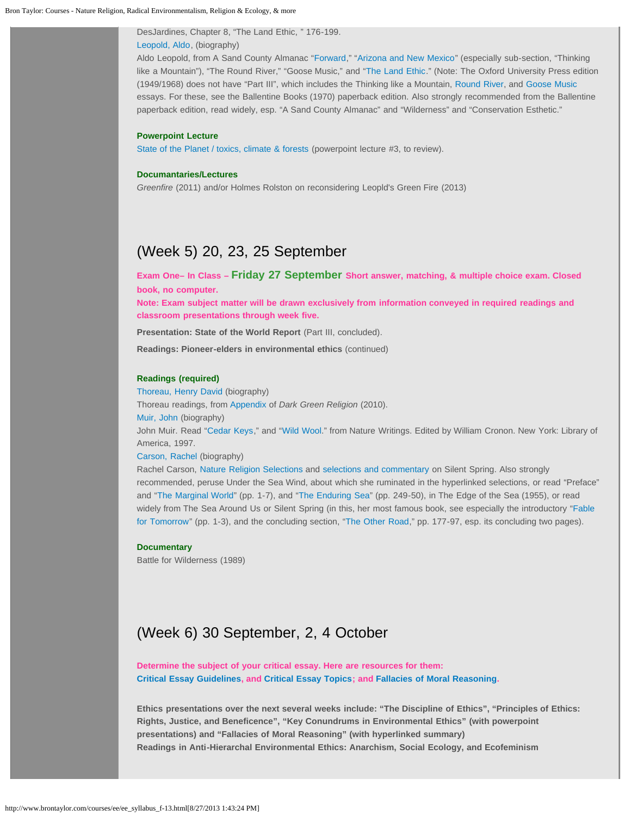DesJardines, Chapter 8, "The Land Ethic, " 176-199. [Leopold, Aldo](http://www.religionandnature.com/ern/sample/Meine--Leopold.pdf), (biography)

Aldo Leopold, from A Sand County Almanac "[Forward](http://www.religionandnature.com/bron/courses/pdf/Leopold--Foreward.pdf)," "[Arizona and New Mexico"](http://www.religionandnature.com/bron/courses/pdf/Leopold--Arizona and New Mexico.pdf) (especially sub-section, "Thinking like a Mountain"), "The Round River," "Goose Music," and ["The Land Ethic](http://www.religionandnature.com/bron/courses/pdf/Leopold--LandEthic.pdf)." (Note: The Oxford University Press edition (1949/1968) does not have "Part III", which includes the Thinking like a Mountain, [Round River](http://www.religionandnature.com/bron/courses/pdf/Leopold--river.pdf), and [Goose Music](http://www.religionandnature.com/bron/courses/pdf/Leopold--goose.pdf) essays. For these, see the Ballentine Books (1970) paperback edition. Also strongly recommended from the Ballentine paperback edition, read widely, esp. "A Sand County Almanac" and "Wilderness" and "Conservation Esthetic."

### **Powerpoint Lecture**

[State of the Planet / toxics, climate & forests](http://www.brontaylor.com/courses/pp/EE3--StateOfPlanet.ppt) (powerpoint lecture #3, to review).

### **Documantaries/Lectures**

*Greenfire* (2011) and/or Holmes Rolston on reconsidering Leopld's Green Fire (2013)

# <span id="page-6-0"></span>(Week 5) 20, 23, 25 September

**Exam One– In Class – Friday 27 September Short answer, matching, & multiple choice exam. Closed book, no computer.**

**Note: Exam subject matter will be drawn exclusively from information conveyed in required readings and classroom presentations through week five.**

**Presentation: State of the World Report** (Part III, concluded).

**Readings: Pioneer-elders in environmental ethics** (continued)

### **Readings (required)**

[Thoreau, Henry David](http://www.religionandnature.com/ern/sample/Gould--Thoreau.pdf) (biography)

Thoreau readings, from [Appendix](http://www.brontaylor.com/environmental_books/pdf/Taylor--ThoreauAppendix.pdf) of *Dark Green Religion* [\(](http://www.religionandnature.com/bron/dgr/Taylor--DGR11-ThoreauAppendix.pdf)2010). [Muir, John](http://www.religionandnature.com/ern/sample/Holmes--Muir.pdf) (biography)

John Muir. Read ["Cedar Keys](http://www.brontaylor.com/courses/pdf/Muir--Cedar Keys.pdf)," and "[Wild Wool](http://www.brontaylor.com/courses/pdf/Muir--Wild Wool.pdf)." from Nature Writings. Edited by William Cronon. New York: Library of America, 1997.

#### [Carson, Rachel](http://www.religionandnature.com/ern/sample/McCay--Carson,Rachel.pdf) (biography)

Rachel Carson, [Nature Religion Selections](http://www.brontaylor.com/courses/pdf/Carson,Rachel--NatureReligion.pdf) and [selections and commentary](http://www.brontaylor.com/courses/pdf/Carson,Rachel--SilentSpring.pdf) on Silent Spring. Also strongly recommended, peruse Under the Sea Wind, about which she ruminated in the hyperlinked selections, or read "Preface" and "[The Marginal World](http://www.brontaylor.com/courses/pdf/Carson--The Marginal World.pdf)" (pp. 1-7), and "[The Enduring Sea"](http://www.religionandnature.com/courses/pdf/Carson--EnduringSea.pdf) (pp. 249-50), in The Edge of the Sea (1955), or read widely from The Sea Around Us or Silent Spring (in this, her most famous book, see especially the introductory ["Fable](http://www.brontaylor.com/courses/pdf/Carson--Fable for Tomorrow.pdf) [for Tomorrow"](http://www.brontaylor.com/courses/pdf/Carson--Fable for Tomorrow.pdf) (pp. 1-3), and the concluding section, "[The Other Road,](http://www.brontaylor.com/courses/pdf/Carson--The Other Road.pdf)" pp. 177-97, esp. its concluding two pages).

### **Documentary**

Battle for Wilderness (1989)

# <span id="page-6-1"></span>(Week 6) 30 September, 2, 4 October

**Determine the subject of your critical essay. Here are resources for them: [Critical Essay Guidelines](http://www.brontaylor.com/courses/ee/CriticalEssayGuidelines(sp11).htm), and [Critical Essay Topics](http://www.brontaylor.com/courses/ee/CriticalEssayTopics.htm); and [Fallacies of Moral Reasoning.](http://www.brontaylor.com/courses/ee/FallaciesMoralReasoning.htm)**

**Ethics presentations over the next several weeks include: "The Discipline of Ethics", "Principles of Ethics: Rights, Justice, and Beneficence", "Key Conundrums in Environmental Ethics" (with powerpoint presentations) and "Fallacies of Moral Reasoning" (with hyperlinked summary) Readings in Anti-Hierarchal Environmental Ethics: Anarchism, Social Ecology, and Ecofeminism**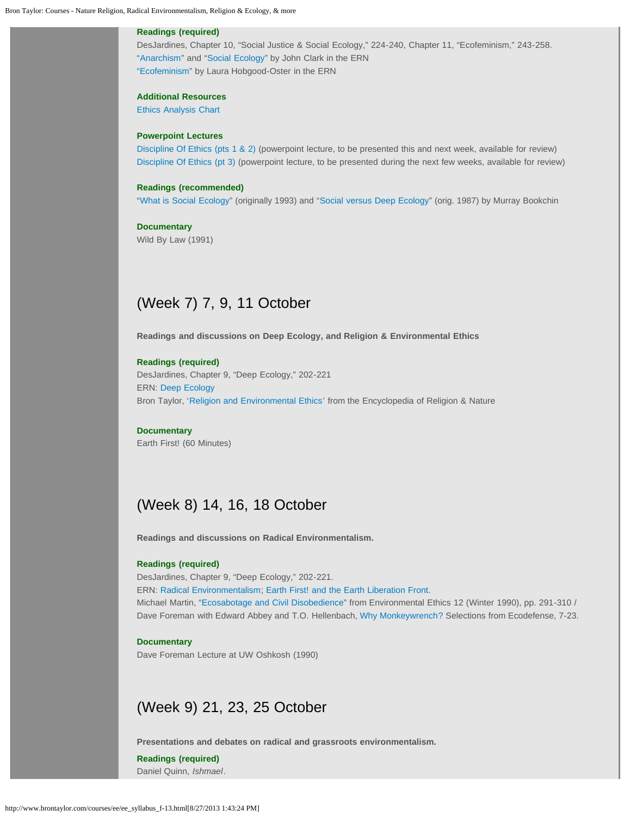### **Readings (required)**

DesJardines, Chapter 10, "Social Justice & Social Ecology," 224-240, Chapter 11, "Ecofeminism," 243-258. "[Anarchism](http://www.religionandnature.com/ern/sample/Clark--Anarchism.pdf)" and ["Social Ecology](http://www.religionandnature.com/ern/sample/Clark--SocialEcology.pdf)" by John Clark in the ERN ["Ecofeminism"](http://www.religionandnature.com/ern/sample/Hobgood-Oster--Ecofeminism.pdf) by Laura Hobgood-Oster in the ERN

### **Additional Resources**

[Ethics Analysis Chart](http://www.brontaylor.com/courses/pdf/EthicsAnalysisChart.pdf)

### **Powerpoint Lectures**

[Discipline Of Ethics \(pts 1 & 2\)](http://www.brontaylor.com/courses/pp/EE4--DisciplineOfEthics(pt1+2).ppt) (powerpoint lecture, to be presented this and next week, available for review) [Discipline Of Ethics \(pt 3\)](http://www.brontaylor.com/courses/pp/EE5--DisciplineOfEthics(pt3).ppt) (powerpoint lecture, to be presented during the next few weeks, available for review)

### **Readings (recommended)**

"[What is Social Ecology"](http://dwardmac.pitzer.edu/Anarchist_Archives/bookchin/socecol.html) (originally 1993) and ["Social versus Deep Ecology](http://libcom.org/library/social-versus-deep-ecology-bookchin)" (orig. 1987) by Murray Bookchin

**Documentary**  Wild By Law (1991)

## <span id="page-7-0"></span>(Week 7) 7, 9, 11 October

**Readings and discussions on Deep Ecology, and Religion & Environmental Ethics**

### **Readings (required)**

DesJardines, Chapter 9, "Deep Ecology," 202-221 ERN: [Deep Ecology](http://www.religionandnature.com/ern/sample/Taylor--DeepEcology.pdf) Bron Taylor, '[Religion and Environmental Ethics'](http://www.religionandnature.com/ern/sample/Taylor--EnvironmentalEthics.pdf) from the Encyclopedia of Religion & Nature

### **Documentary**

<span id="page-7-1"></span>Earth First! (60 Minutes)

# (Week 8) 14, 16, 18 October

**Readings and discussions on Radical Environmentalism.**

#### **Readings (required)**

DesJardines, Chapter 9, "Deep Ecology," 202-221.

ERN: [Radical Environmentalism;](http://www.religionandnature.com/ern/sample/Taylor--RadicalEnvironmentalism.pdf) [Earth First! and the Earth Liberation Front.](http://www.religionandnature.com/ern/sample/Taylor--EF!andELF.pdf)

Michael Martin, "[Ecosabotage and Civil Disobedience"](http://www.brontaylor.com/courses/pdf/Martin--Ecosabotage.pdf) from Environmental Ethics 12 (Winter 1990), pp. 291-310 / Dave Foreman with Edward Abbey and T.O. Hellenbach, [Why Monkeywrench?](http://www.brontaylor.com/courses/pdf/Foreman(withAbbey+Others)--Ecodefense.pdf) Selections from Ecodefense, 7-23.

### **Documentary**

<span id="page-7-2"></span>Dave Foreman Lecture at UW Oshkosh (1990)

### (Week 9) 21, 23, 25 October

**Presentations and debates on radical and grassroots environmentalism.**

**Readings (required)** Daniel Quinn, *Ishmael*.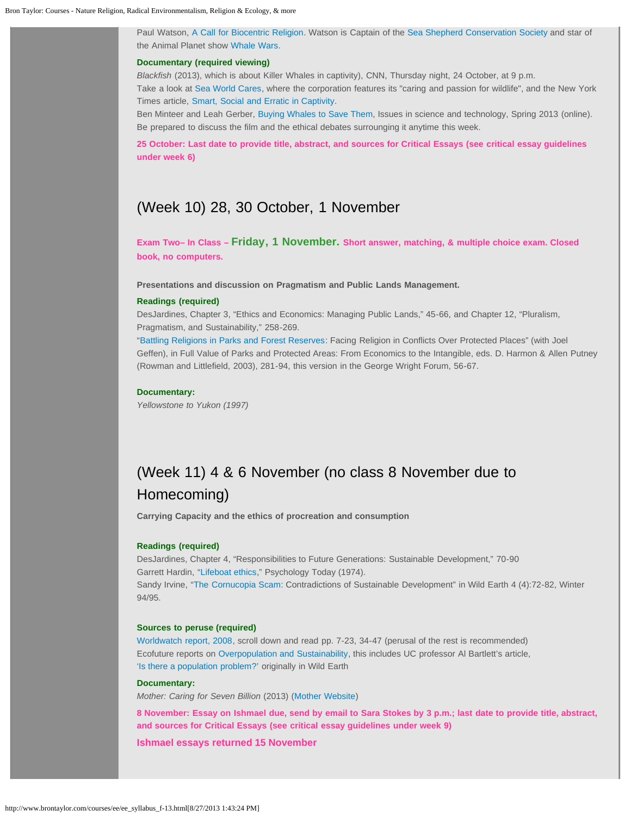Paul Watson, [A Call for Biocentric Religion.](http://www.religionandnature.com/ern/sample/Watson--BiocentricReligion.pdf) Watson is Captain of the [Sea Shepherd Conservation Society](http://www.seashepherd.org/) and star of the Animal Planet show [Whale Wars](http://animal.discovery.com/tv-shows/whale-wars).

### **Documentary (required viewing)**

*Blackfish* (2013), which is about Killer Whales in captivity), CNN, Thursday night, 24 October, at 9 p.m. Take a look at [Sea World Cares](http://www.seaworldcares.com/), where the corporation features its "caring and passion for wildlife", and the New York Times article, [Smart, Social and Erratic in Captivity](http://www.nytimes.com/2013/07/30/science/smart-social-and-captive.html?hp&_r=0).

Ben Minteer and Leah Gerber, [Buying Whales to Save Them,](http://www.issues.org/29.3/minteer.html?utm_medium=etmail&utm_source=University of Texas at Dallas&utm_campaign=29.3+-+now+available&utm_content=&utm_term) Issues in science and technology, Spring 2013 (online). Be prepared to discuss the film and the ethical debates surrounging it anytime this week.

**25 October: Last date to provide title, abstract, and sources for Critical Essays (see critical essay guidelines under week 6)**

### <span id="page-8-0"></span>(Week 10) 28, 30 October, 1 November

**Exam Two– In Class – Friday, 1 November. Short answer, matching, & multiple choice exam. Closed book, no computers.**

**Presentations and discussion on Pragmatism and Public Lands Management.**

### **Readings (required)**

DesJardines, Chapter 3, "Ethics and Economics: Managing Public Lands," 45-66, and Chapter 12, "Pluralism, Pragmatism, and Sustainability," 258-269.

"[Battling Religions in Parks and Forest Reserves:](http://www.georgewright.org/212taylor.pdf) Facing Religion in Conflicts Over Protected Places" (with Joel Geffen), in Full Value of Parks and Protected Areas: From Economics to the Intangible, eds. D. Harmon & Allen Putney (Rowman and Littlefield, 2003), 281-94, this version in the George Wright Forum, 56-67.

#### **Documentary:**

*Yellowstone to Yukon (1997)*

# <span id="page-8-1"></span>(Week 11) 4 & 6 November (no class 8 November due to Homecoming)

**Carrying Capacity and the ethics of procreation and consumption**

### **Readings (required)**

DesJardines, Chapter 4, "Responsibilities to Future Generations: Sustainable Development," 70-90 Garrett Hardin, "[Lifeboat ethics,](http://www.garretthardinsociety.org/articles/art_lifeboat_ethics_case_against_helping_poor.html)" Psychology Today (1974). Sandy Irvine, "[The Cornucopia Scam:](http://www.brontaylor.com/courses/pdf/Irvine--CornucopiaScam.pdf) Contradictions of Sustainable Development" in Wild Earth 4 (4):72-82, Winter

94/95.

### **Sources to peruse (required)**

[Worldwatch report, 2008,](http://www.brontaylor.com/courses/pdf/Worldwatch--Population(2008).pdf) scroll down and read pp. 7-23, 34-47 (perusal of the rest is recommended) Ecofuture reports on [Overpopulation and Sustainability,](http://www.ecofuture.org/pop/reports.html) this includes UC professor Al Bartlett's article, ['Is there a population problem?](http://www.ecofuture.org/pop/rpts/bartlett_pop_prob.html)' originally in Wild Earth

### **Documentary:**

*Mother: Caring for Seven Billion* (2013) ([Mother Website](http://www.motherthefilm.com/))

**8 November: Essay on Ishmael due, send by email to Sara Stokes by 3 p.m.; last date to provide title, abstract, and sources for Critical Essays (see critical essay guidelines under week 9)**

<span id="page-8-2"></span>**Ishmael essays returned 15 November**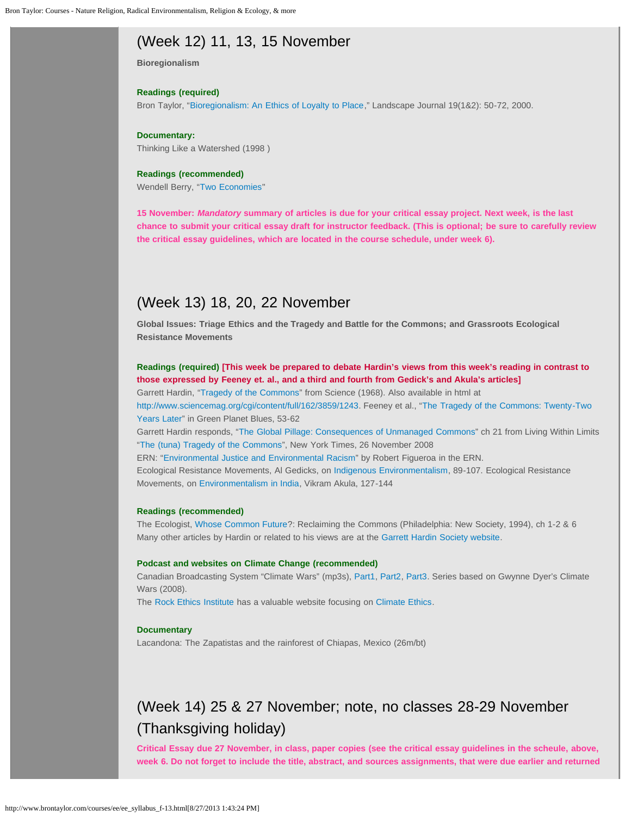# (Week 12) 11, 13, 15 November

**Bioregionalism**

### **Readings (required)**

Bron Taylor, ["Bioregionalism: An Ethics of Loyalty to Place](http://www.brontaylor.com/environmental_articles/pdf/Taylor--Bioregionalism+Ethics.pdf)," Landscape Journal 19(1&2): 50-72, 2000.

### **Documentary:**

Thinking Like a Watershed (1998 )

### **Readings (recommended)**

Wendell Berry, "[Two Economies"](http://www.brontaylor.com/courses/pdf/Berry--Two Economies.pdf)

**15 November:** *Mandatory* **summary of articles is due for your critical essay project. Next week, is the last chance to submit your critical essay draft for instructor feedback. (This is optional; be sure to carefully review the critical essay guidelines, which are located in the course schedule, under week 6).** 

## <span id="page-9-0"></span>(Week 13) 18, 20, 22 November

**Global Issues: Triage Ethics and the Tragedy and Battle for the Commons; and Grassroots Ecological Resistance Movements**

**Readings (required) [This week be prepared to debate Hardin's views from this week's reading in contrast to those expressed by Feeney et. al., and a third and fourth from Gedick's and Akula's articles]**

Garrett Hardin, "[Tragedy of the Commons"](http://www.brontaylor.com/courses/pdf/Hardin--TragedyOfTheCommons(1968).pdf) from Science (1968). Also available in html at <http://www.sciencemag.org/cgi/content/full/162/3859/1243>. Feeney et al., "[The Tragedy of the Commons: Twenty-Two](http://www.brontaylor.com/courses/pdf/Feeney--TragedyOfCommons.pdf) [Years Later"](http://www.brontaylor.com/courses/pdf/Feeney--TragedyOfCommons.pdf) in Green Planet Blues, 53-62

Garrett Hardin responds, "[The Global Pillage: Consequences of Unmanaged Commons"](http://www.brontaylor.com/courses/pdf/Hardin--LivingWithinLimits(21)TheCommons.pdf) ch 21 from Living Within Limits "[The \(tuna\) Tragedy of the Commons"](http://dotearth.blogs.nytimes.com/2008/11/26/the-tuna-tragedy-of-the-commons/), New York Times, 26 November 2008

ERN: "[Environmental Justice and Environmental Racism](http://www.religionandnature.com/ern/sample/Figueroa--EnvironmentalJustice.pdf)" by Robert Figueroa in the ERN.

Ecological Resistance Movements, Al Gedicks, on [Indigenous Environmentalism](http://www.brontaylor.com/courses/pdf/Gedicks--NativeAmericanEcoResistance.pdf), 89-107. Ecological Resistance Movements, on [Environmentalism in India](http://www.brontaylor.com/courses/pdf/Akula--grassroots.pdf), Vikram Akula, 127-144

#### **Readings (recommended)**

The Ecologist, [Whose Common Future](http://www.brontaylor.com/courses/pdf/Ecologist--WhoseCommonFuture(1,2,6).pdf)?: Reclaiming the Commons (Philadelphia: New Society, 1994), ch 1-2 & 6 Many other articles by Hardin or related to his views are at the [Garrett Hardin Society website](http://www.garretthardinsociety.org/info/links.html).

### **Podcast and websites on Climate Change (recommended)**

Canadian Broadcasting System "Climate Wars" (mp3s), [Part1,](http://www.brontaylor.com/sound/ClimateWars(1).mp3) [Part2](http://www.brontaylor.com/sound/ClimateWars(2).mp3), [Part3](http://www.brontaylor.com/sound/ClimateWars(3).mp3). Series based on Gwynne Dyer's Climate Wars (2008).

The [Rock Ethics Institute](http://rockblogs.psu.edu/rockethics/) has a valuable website focusing on [Climate Ethics.](http://rockblogs.psu.edu/climate/)

### **Documentary**

Lacandona: The Zapatistas and the rainforest of Chiapas, Mexico (26m/bt)

# <span id="page-9-1"></span>(Week 14) 25 & 27 November; note, no classes 28-29 November (Thanksgiving holiday)

**Critical Essay due 27 November, in class, paper copies (see the critical essay guidelines in the scheule, above, week 6. Do not forget to include the title, abstract, and sources assignments, that were due earlier and returned**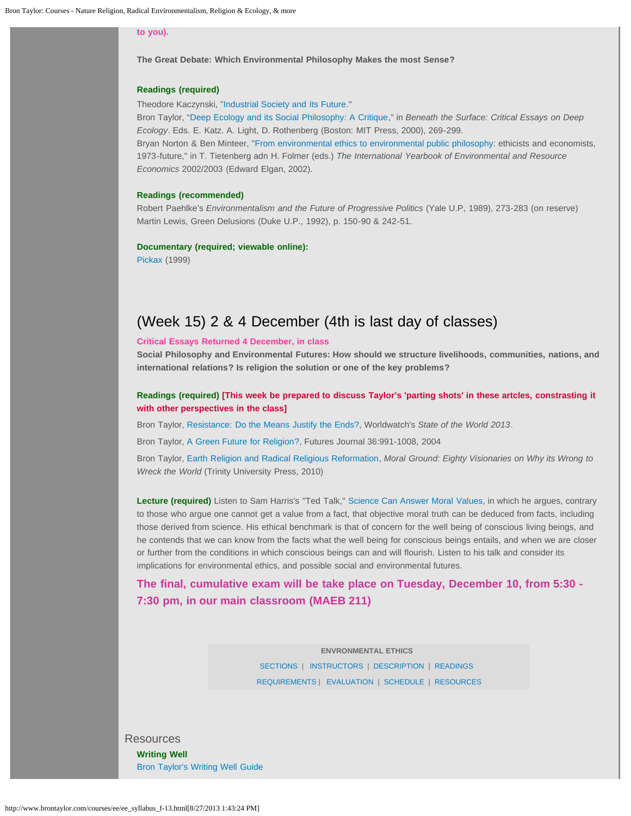### **to you).**

**The Great Debate: Which Environmental Philosophy Makes the most Sense?**

### **Readings (required)**

Theodore Kaczynski, "[Industrial Society and Its Future](http://en.wikisource.org/wiki/Industrial_Society_and_Its_Future)."

Bron Taylor, ["Deep Ecology and its Social Philosophy: A Critique](http://www.brontaylor.com/environmental_articles/pdf/Taylor--DeepEcologyasSocialPhilosophy.pdf)," in *Beneath the Surface: Critical Essays on Deep Ecology*. Eds. E. Katz. A. Light, D. Rothenberg (Boston: MIT Press, 2000), 269-299. Bryan Norton & Ben Minteer, ["From environmental ethics to environmental public philosophy](http://www.brontaylor.com/courses/pdf/Norton+Minteer--EnvEthics+Econonomics.pdf): ethicists and economists,

1973-future," in T. Tietenberg adn H. Folmer (eds.) *The International Yearbook of Environmental and Resource Economics* 2002/2003 (Edward Elgan, 2002).

### **Readings (recommended)**

Robert Paehlke's *Environmentalism and the Future of Progressive Politics* (Yale U.P, 1989), 273-283 (on reserve) Martin Lewis, Green Delusions (Duke U.P., 1992), p. 150-90 & 242-51.

### **Documentary (required; viewable online):**

<span id="page-10-1"></span>[Pickax](http://www.youtube.com/watch?v=FIQZY593YGw) (1999)

## (Week 15) 2 & 4 December (4th is last day of classes)

### **Critical Essays Returned 4 December, in class**

**Social Philosophy and Environmental Futures: How should we structure livelihoods, communities, nations, and international relations? Is religion the solution or one of the key problems?**

### **Readings (required) [This week be prepared to discuss Taylor's 'parting shots' in these artcles, constrasting it with other perspectives in the class]**

Bron Taylor, [Resistance: Do the Means Justify the Ends?](http://www.brontaylor.com/environmental_articles/pdf/Taylor--Resistance.pdf), Worldwatch's *State of the World 2013*.

Bron Taylor, [A Green Future for Religion?](http://www.brontaylor.com/environmental_articles/pdf/Taylor--GreenFuture4Rel.pdf), Futures Journal 36:991-1008, 2004

Bron Taylor, [Earth Religion and Radical Religious Reformation](http://www.brontaylor.com/environmental_articles/pdf/Taylor--EarthReligionRadicalReformation(2010).pdf), *Moral Ground: Eighty Visionaries on Why its Wrong to Wreck the World* (Trinity University Press, 2010)

**Lecture (required)** Listen to Sam Harris's "Ted Talk," [Science Can Answer Moral Values,](http://www.ted.com/talks/sam_harris_science_can_show_what_s_right.html) in which he argues, contrary to those who argue one cannot get a value from a fact, that objective moral truth can be deduced from facts, including those derived from science. His ethical benchmark is that of concern for the well being of conscious living beings, and he contends that we can know from the facts what the well being for conscious beings entails, and when we are closer or further from the conditions in which conscious beings can and will flourish. Listen to his talk and consider its implications for environmental ethics, and possible social and environmental futures.

### **The final, cumulative exam will be take place on Tuesday, December 10, from 5:30 - 7:30 pm, in our main classroom (MAEB 211)**

**ENVRONMENTAL ETHICS**  [SECTIONS](#page-0-0) | [INSTRUCTORS](#page-0-1) | [DESCRIPTION](#page-0-2) | [READINGS](#page-1-0) [REQUIREMENTS](#page-1-1) | [EVALUATION](#page-2-0) | [SCHEDULE](#page-4-0) | [RESOURCES](#page-10-0)

<span id="page-10-0"></span>Resources **Writing Well** [Bron Taylor's Writing Well Guide](http://www.brontaylor.com/pdf/writingwell.pdf)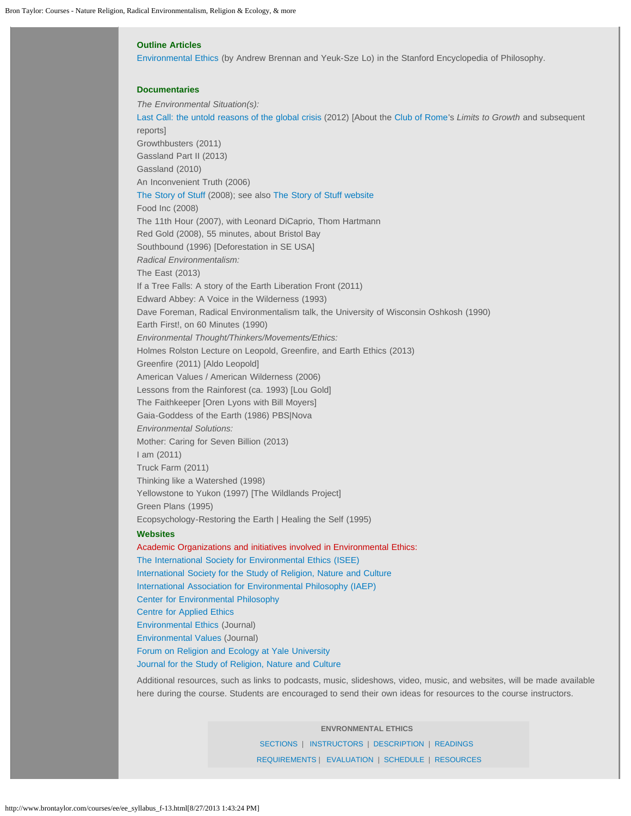### **Outline Articles**

[Environmental Ethics](http://plato.stanford.edu/entries/ethics-environmental/) (by Andrew Brennan and Yeuk-Sze Lo) in the Stanford Encyclopedia of Philosophy.

### **Documentaries**

*The Environmental Situation(s):* [Last Call: the untold reasons of the global crisis](http://www.lastcallthefilm.org/) (2012) [About the [Club of Rome](http://www.clubofrome.org/?p=6316)'s *Limits to Growth* and subsequent reports] Growthbusters (2011) Gassland Part II (2013) Gassland (2010) An Inconvenient Truth (2006) [The Story of Stuff](http://www.youtube.com/watch?v=gLBE5QAYXp8) (2008); see also [The Story of Stuff website](http://www.storyofstuff.org/) Food Inc (2008) The 11th Hour (2007), with Leonard DiCaprio, Thom Hartmann Red Gold (2008), 55 minutes, about Bristol Bay Southbound (1996) [Deforestation in SE USA] *Radical Environmentalism:* The East (2013) If a Tree Falls: A story of the Earth Liberation Front (2011) Edward Abbey: A Voice in the Wilderness (1993) Dave Foreman, Radical Environmentalism talk, the University of Wisconsin Oshkosh (1990) Earth First!, on 60 Minutes (1990) *Environmental Thought/Thinkers/Movements/Ethics:* Holmes Rolston Lecture on Leopold, Greenfire, and Earth Ethics (2013) Greenfire (2011) [Aldo Leopold] American Values / American Wilderness (2006) Lessons from the Rainforest (ca. 1993) [Lou Gold] The Faithkeeper [Oren Lyons with Bill Moyers] Gaia-Goddess of the Earth (1986) PBS|Nova *Environmental Solutions:* Mother: Caring for Seven Billion (2013) I am (2011) Truck Farm (2011) Thinking like a Watershed (1998) Yellowstone to Yukon (1997) [The Wildlands Project] Green Plans (1995) Ecopsychology-Restoring the Earth | Healing the Self (1995) **Websites**  Academic Organizations and initiatives involved in Environmental Ethics: [The International Society for Environmental Ethics \(ISEE\)](http://www.cep.unt.edu/ISEE.html) [International Society for the Study of Religion, Nature and Culture](http://www.religionandnature.com/society) [International Association for Environmental Philosophy \(IAEP\)](http://www.environmentalphilosophy.org/)  [Center for Environmental Philosophy](http://www.cep.unt.edu/) [Centre for Applied Ethics](http://www.ethics.ubc.ca/resources/environmental/) [Environmental Ethics](http://www.cep.unt.edu/enethics.html) (Journal) [Environmental Values](http://www.erica.demon.co.uk/EV.html) (Journal)

[Forum on Religion and Ecology at Yale University](http://fore.research.yale.edu/) [Journal for the Study of Religion, Nature and Culture](http://www.religionandnature.com/journal)

Additional resources, such as links to podcasts, music, slideshows, video, music, and websites, will be made available here during the course. Students are encouraged to send their own ideas for resources to the course instructors.

> **ENVRONMENTAL ETHICS**  [SECTIONS](#page-0-0) | [INSTRUCTORS](#page-0-1) | [DESCRIPTION](#page-0-2) | [READINGS](#page-1-0) [REQUIREMENTS](#page-1-1) | [EVALUATION](#page-2-0) | [SCHEDULE](#page-4-0) | [RESOURCES](#page-10-0)